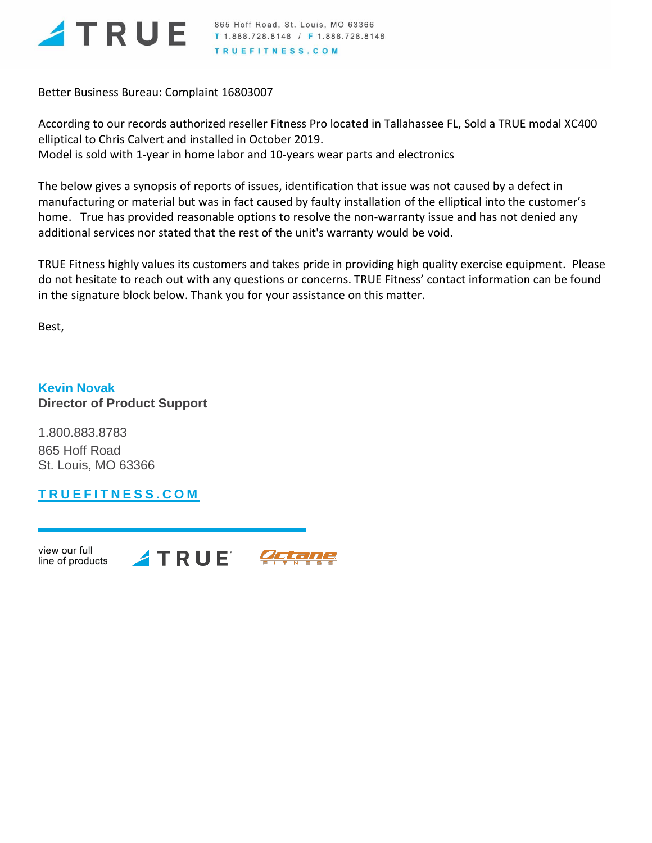

Better Business Bureau: Complaint 16803007

According to our records authorized reseller Fitness Pro located in Tallahassee FL, Sold a TRUE modal XC400 elliptical to Chris Calvert and installed in October 2019. Model is sold with 1-year in home labor and 10-years wear parts and electronics

The below gives a synopsis of reports of issues, identification that issue was not caused by a defect in manufacturing or material but was in fact caused by faulty installation of the elliptical into the customer's home. True has provided reasonable options to resolve the non-warranty issue and has not denied any additional services nor stated that the rest of the unit's warranty would be void.

TRUE Fitness highly values its customers and takes pride in providing high quality exercise equipment. Please do not hesitate to reach out with any questions or concerns. TRUE Fitness' contact information can be found in the signature block below. Thank you for your assistance on this matter.

Best,

**Kevin Novak Director of Product Support**

1.800.883.8783 865 Hoff Road St. Louis, MO 63366

## **[T R U E F I T N E S S . C O M](https://www.truefitness.com/)**

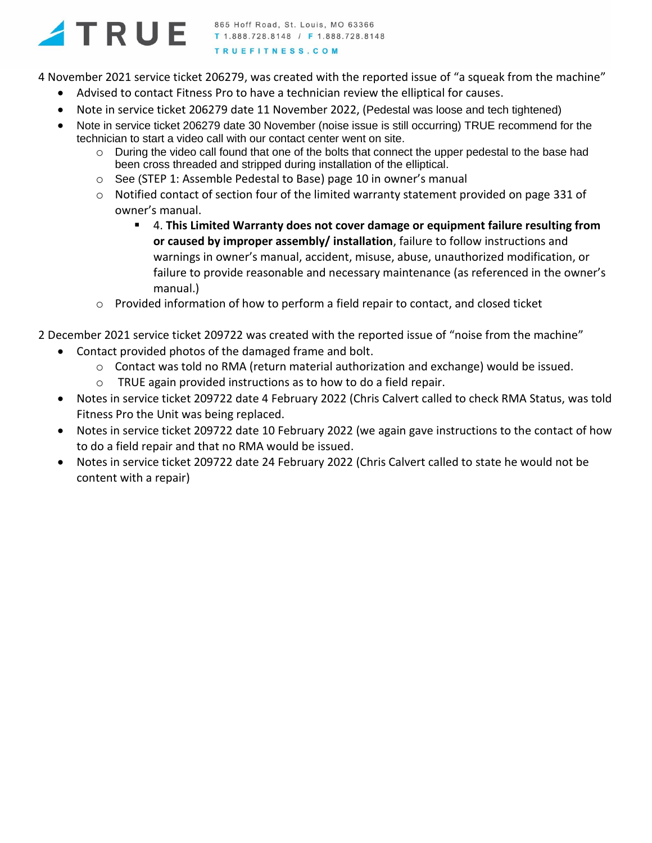

4 November 2021 service ticket 206279, was created with the reported issue of "a squeak from the machine"

- Advised to contact Fitness Pro to have a technician review the elliptical for causes.
- Note in service ticket 206279 date 11 November 2022, (Pedestal was loose and tech tightened)
- Note in service ticket 206279 date 30 November (noise issue is still occurring) TRUE recommend for the technician to start a video call with our contact center went on site.
	- o During the video call found that one of the bolts that connect the upper pedestal to the base had been cross threaded and stripped during installation of the elliptical.
	- o See (STEP 1: Assemble Pedestal to Base) page 10 in owner's manual
	- $\circ$  Notified contact of section four of the limited warranty statement provided on page 331 of owner's manual.
		- 4. **This Limited Warranty does not cover damage or equipment failure resulting from or caused by improper assembly/ installation**, failure to follow instructions and warnings in owner's manual, accident, misuse, abuse, unauthorized modification, or failure to provide reasonable and necessary maintenance (as referenced in the owner's manual.)
	- o Provided information of how to perform a field repair to contact, and closed ticket

2 December 2021 service ticket 209722 was created with the reported issue of "noise from the machine"

- Contact provided photos of the damaged frame and bolt.
	- $\circ$  Contact was told no RMA (return material authorization and exchange) would be issued.
	- o TRUE again provided instructions as to how to do a field repair.
- Notes in service ticket 209722 date 4 February 2022 (Chris Calvert called to check RMA Status, was told Fitness Pro the Unit was being replaced.
- Notes in service ticket 209722 date 10 February 2022 (we again gave instructions to the contact of how to do a field repair and that no RMA would be issued.
- Notes in service ticket 209722 date 24 February 2022 (Chris Calvert called to state he would not be content with a repair)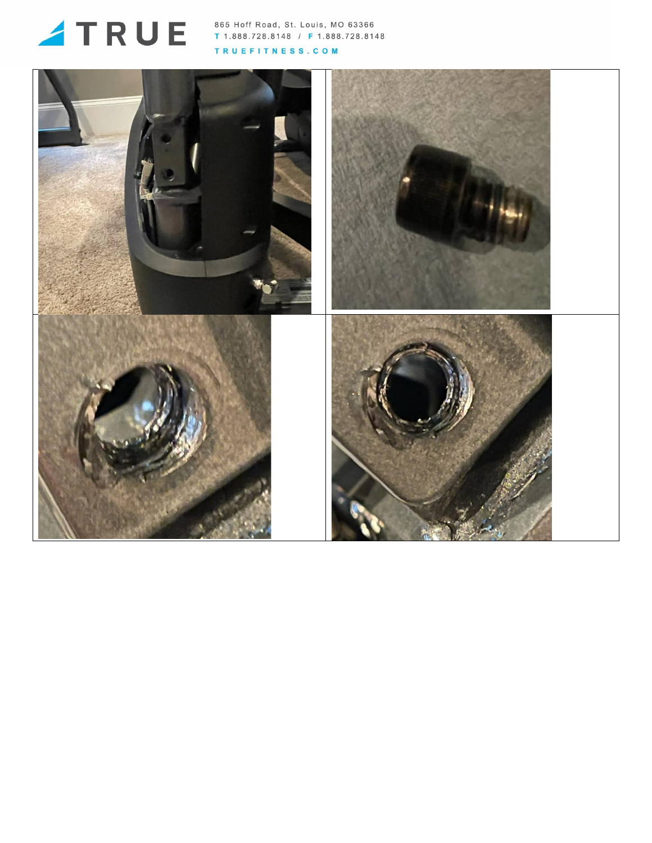

865 Hoff Road, St. Louis, MO 63366<br>T 1.888.728.8148 / F 1.888.728.8148 TRUEFITNESS.COM

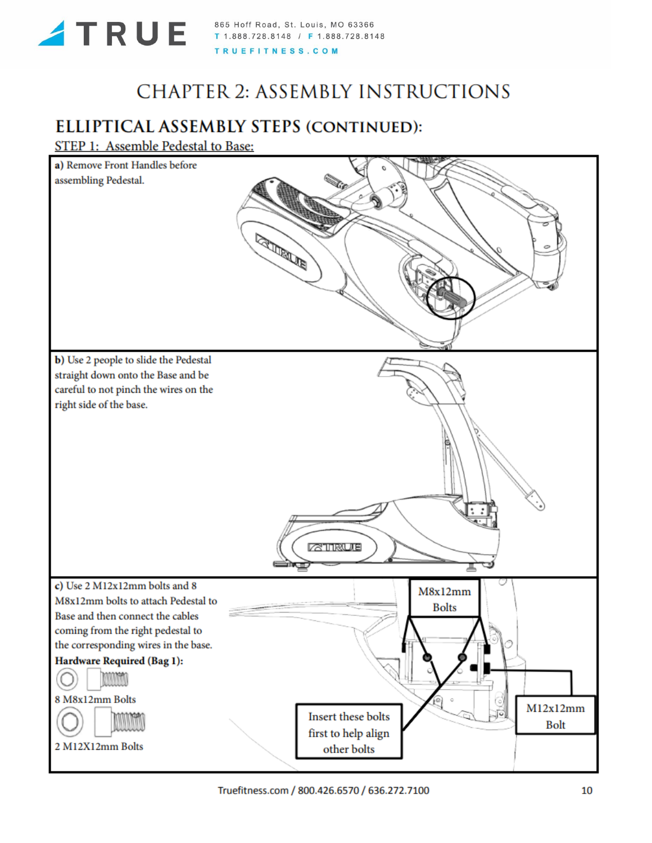

# **CHAPTER 2: ASSEMBLY INSTRUCTIONS**

## **ELLIPTICAL ASSEMBLY STEPS (CONTINUED):**

STEP 1: Assemble Pedestal to Base: